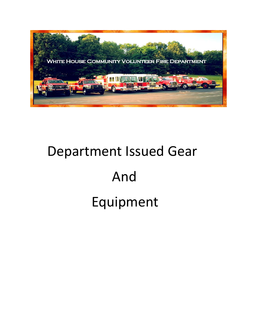

## Department Issued Gear And Equipment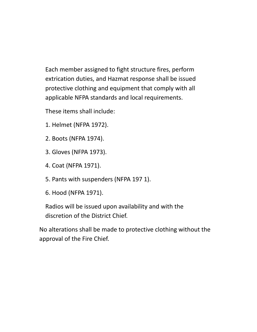Each member assigned to fight structure fires, perform extrication duties, and Hazmat response shall be issued protective clothing and equipment that comply with all applicable NFPA standards and local requirements.

These items shall include:

- 1. Helmet (NFPA 1972).
- 2. Boots (NFPA 1974).
- 3. Gloves (NFPA 1973).
- 4. Coat (NFPA 1971).
- 5. Pants with suspenders (NFPA 197 1).
- 6. Hood (NFPA 1971).

Radios will be issued upon availability and with the discretion of the District Chief.

No alterations shall be made to protective clothing without the approval of the Fire Chief.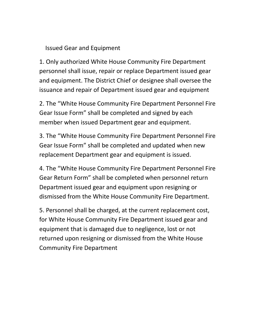## Issued Gear and Equipment

1. Only authorized White House Community Fire Department personnel shall issue, repair or replace Department issued gear and equipment. The District Chief or designee shall oversee the issuance and repair of Department issued gear and equipment

2. The "White House Community Fire Department Personnel Fire Gear Issue Form" shall be completed and signed by each member when issued Department gear and equipment.

3. The "White House Community Fire Department Personnel Fire Gear Issue Form" shall be completed and updated when new replacement Department gear and equipment is issued.

4. The "White House Community Fire Department Personnel Fire Gear Return Form" shall be completed when personnel return Department issued gear and equipment upon resigning or dismissed from the White House Community Fire Department.

5. Personnel shall be charged, at the current replacement cost, for White House Community Fire Department issued gear and equipment that is damaged due to negligence, lost or not returned upon resigning or dismissed from the White House Community Fire Department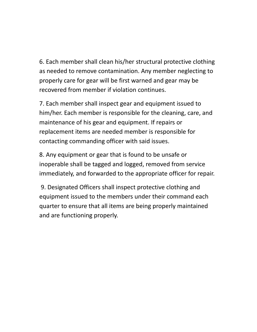6. Each member shall clean his/her structural protective clothing as needed to remove contamination. Any member neglecting to properly care for gear will be first warned and gear may be recovered from member if violation continues.

7. Each member shall inspect gear and equipment issued to him/her. Each member is responsible for the cleaning, care, and maintenance of his gear and equipment. If repairs or replacement items are needed member is responsible for contacting commanding officer with said issues.

8. Any equipment or gear that is found to be unsafe or inoperable shall be tagged and logged, removed from service immediately, and forwarded to the appropriate officer for repair.

 9. Designated Officers shall inspect protective clothing and equipment issued to the members under their command each quarter to ensure that all items are being properly maintained and are functioning properly.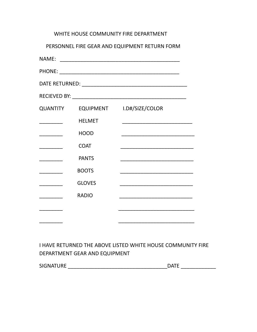|                                                                                                                     |               | WHITE HOUSE COMMUNITY FIRE DEPARTMENT                                                                                |
|---------------------------------------------------------------------------------------------------------------------|---------------|----------------------------------------------------------------------------------------------------------------------|
|                                                                                                                     |               | PERSONNEL FIRE GEAR AND EQUIPMENT RETURN FORM                                                                        |
|                                                                                                                     |               |                                                                                                                      |
|                                                                                                                     |               |                                                                                                                      |
|                                                                                                                     |               |                                                                                                                      |
|                                                                                                                     |               |                                                                                                                      |
|                                                                                                                     |               | QUANTITY EQUIPMENT I.D#/SIZE/COLOR                                                                                   |
| $\frac{1}{1}$                                                                                                       | <b>HELMET</b> |                                                                                                                      |
|                                                                                                                     | <b>HOOD</b>   |                                                                                                                      |
| $\overline{\phantom{a}}$                                                                                            | <b>COAT</b>   |                                                                                                                      |
| ________                                                                                                            | <b>PANTS</b>  |                                                                                                                      |
| <u> Liberal College (College College)</u>                                                                           | <b>BOOTS</b>  | <u> 1989 - Johann John Harry, mars eta bat eta bat eta bat ez arte eta bat ez arte eta bat ez arte eta bat ez ar</u> |
| <u> 1989 - 1989 - 1989 - 1989 - 1989 - 1989 - 1989 - 1989 - 1989 - 1989 - 1989 - 1989 - 1989 - 1989 - 1989 - 19</u> | <b>GLOVES</b> |                                                                                                                      |
| <u> 1990 - Jan Barnett, fransk politiker</u>                                                                        | <b>RADIO</b>  |                                                                                                                      |
|                                                                                                                     |               |                                                                                                                      |
|                                                                                                                     |               |                                                                                                                      |

## I HAVE RETURNED THE ABOVE LISTED WHITE HOUSE COMMUNITY FIRE DEPARTMENT GEAR AND EQUIPMENT

| <b>SIGNATURE</b> | ∩∧⊤⊏ |
|------------------|------|
|                  |      |